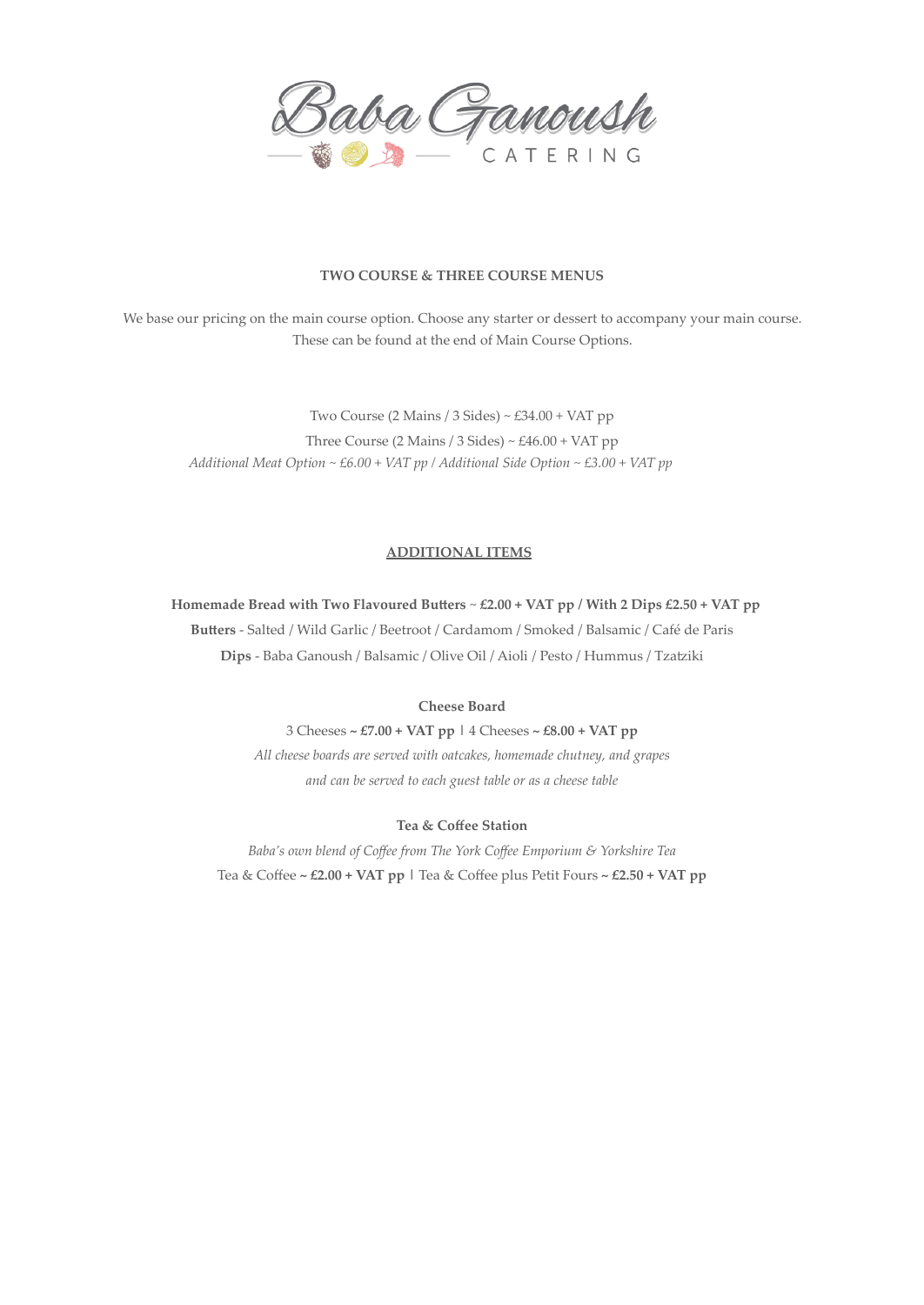

## **TWO COURSE & THREE COURSE MENUS**

We base our pricing on the main course option. Choose any starter or dessert to accompany your main course. These can be found at the end of Main Course Options.

Two Course (2 Mains / 3 Sides) ~ £34.00 + VAT pp Three Course (2 Mains / 3 Sides) ~  $£46.00 + VAT$  pp *Additional Meat Option ~ £6.00 + VAT pp / Additional Side Option ~ £3.00 + VAT pp*

## **ADDITIONAL ITEMS**

**Homemade Bread with Two Flavoured Butters** ~ **£2.00 + VAT pp / With 2 Dips £2.50 + VAT pp**

**Butters** - Salted / Wild Garlic / Beetroot / Cardamom / Smoked / Balsamic / Café de Paris **Dips** - Baba Ganoush / Balsamic / Olive Oil / Aioli / Pesto / Hummus / Tzatziki

**Cheese Board**

3 Cheeses **~ £7.00 + VAT pp |** 4 Cheeses **~ £8.00 + VAT pp** *All cheese boards are served with oatcakes, homemade chutney, and grapes and can be served to each guest table or as a cheese table*

## **Tea & Coffee Station**

*Baba's own blend of Coffee from The York Coffee Emporium & Yorkshire Tea* Tea & Coffee **~ £2.00 + VAT pp |** Tea & Coffee plus Petit Fours **~ £2.50 + VAT pp**